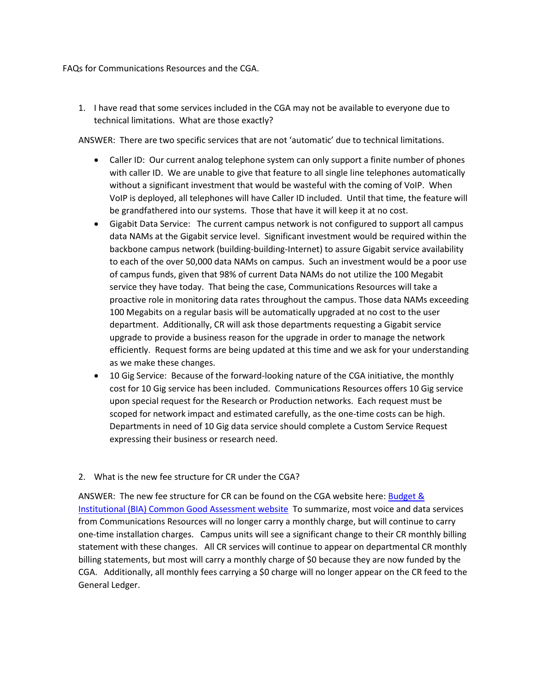FAQs for Communications Resources and the CGA.

1. I have read that some services included in the CGA may not be available to everyone due to technical limitations. What are those exactly?

ANSWER: There are two specific services that are not 'automatic' due to technical limitations.

- Caller ID: Our current analog telephone system can only support a finite number of phones with caller ID. We are unable to give that feature to all single line telephones automatically without a significant investment that would be wasteful with the coming of VoIP. When VoIP is deployed, all telephones will have Caller ID included. Until that time, the feature will be grandfathered into our systems. Those that have it will keep it at no cost.
- Gigabit Data Service: The current campus network is not configured to support all campus data NAMs at the Gigabit service level. Significant investment would be required within the backbone campus network (building-building-Internet) to assure Gigabit service availability to each of the over 50,000 data NAMs on campus. Such an investment would be a poor use of campus funds, given that 98% of current Data NAMs do not utilize the 100 Megabit service they have today. That being the case, Communications Resources will take a proactive role in monitoring data rates throughout the campus. Those data NAMs exceeding 100 Megabits on a regular basis will be automatically upgraded at no cost to the user department. Additionally, CR will ask those departments requesting a Gigabit service upgrade to provide a business reason for the upgrade in order to manage the network efficiently. Request forms are being updated at this time and we ask for your understanding as we make these changes.
- 10 Gig Service: Because of the forward-looking nature of the CGA initiative, the monthly cost for 10 Gig service has been included. Communications Resources offers 10 Gig service upon special request for the Research or Production networks. Each request must be scoped for network impact and estimated carefully, as the one-time costs can be high. Departments in need of 10 Gig data service should complete a Custom Service Request expressing their business or research need.
- 2. What is the new fee structure for CR under the CGA?

ANSWER: The new fee structure for CR can be found on the CGA website here: [Budget &](http://budget.ucdavis.edu/common-good-assessment/index.html)  [Institutional \(BIA\) Common Good Assessment website](http://budget.ucdavis.edu/common-good-assessment/index.html) To summarize, most voice and data services from Communications Resources will no longer carry a monthly charge, but will continue to carry one-time installation charges. Campus units will see a significant change to their CR monthly billing statement with these changes. All CR services will continue to appear on departmental CR monthly billing statements, but most will carry a monthly charge of \$0 because they are now funded by the CGA. Additionally, all monthly fees carrying a \$0 charge will no longer appear on the CR feed to the General Ledger.